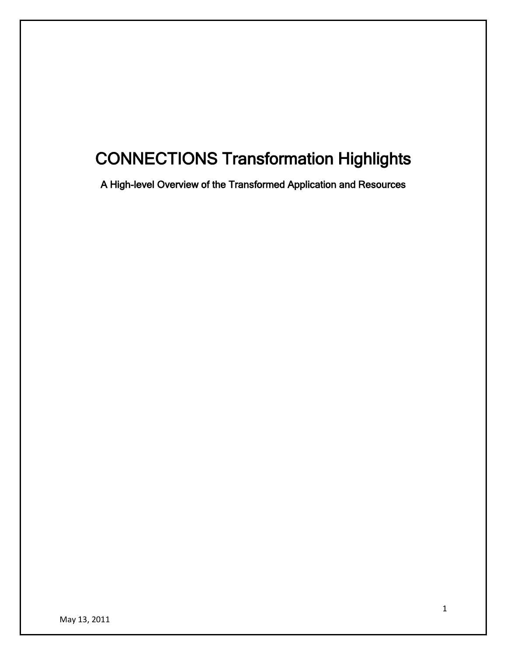# CONNECTIONS Transformation Highlights

A High-level Overview of the Transformed Application and Resources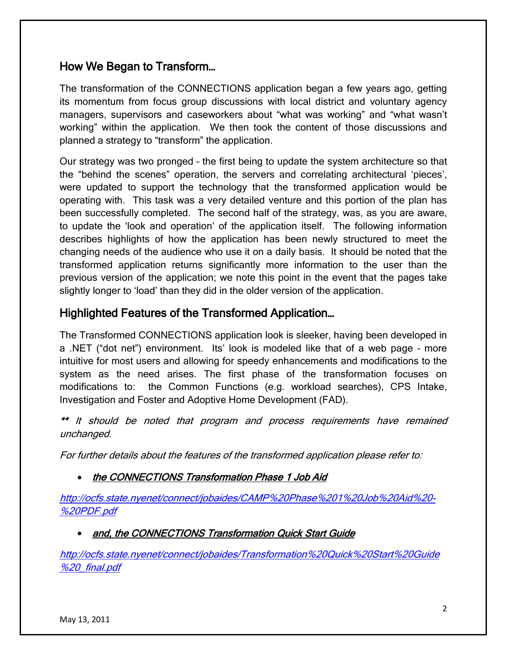# How We Began to Transform…

The transformation of the CONNECTIONS application began a few years ago, getting its momentum from focus group discussions with local district and voluntary agency managers, supervisors and caseworkers about "what was working" and "what wasn't working" within the application. We then took the content of those discussions and planned a strategy to "transform" the application.

Our strategy was two pronged – the first being to update the system architecture so that the "behind the scenes" operation, the servers and correlating architectural 'pieces', were updated to support the technology that the transformed application would be operating with. This task was a very detailed venture and this portion of the plan has been successfully completed. The second half of the strategy, was, as you are aware, to update the 'look and operation' of the application itself. The following information describes highlights of how the application has been newly structured to meet the changing needs of the audience who use it on a daily basis. It should be noted that the transformed application returns significantly more information to the user than the previous version of the application; we note this point in the event that the pages take slightly longer to 'load' than they did in the older version of the application.

# Highlighted Features of the Transformed Application…

The Transformed CONNECTIONS application look is sleeker, having been developed in a .NET ("dot net") environment. Its' look is modeled like that of a web page – more intuitive for most users and allowing for speedy enhancements and modifications to the system as the need arises. The first phase of the transformation focuses on modifications to: the Common Functions (e.g. workload searches), CPS Intake, Investigation and Foster and Adoptive Home Development (FAD).

\*\* It should be noted that program and process requirements have remained unchanged.

For further details about the features of the transformed application please refer to:

• the CONNECTIONS Transformation Phase 1 Job Aid

[http://ocfs.state.nyenet/connect/jobaides/CAMP%20Phase%201%20Job%20Aid%20-](http://ocfs.state.nyenet/connect/jobaides/CAMP%20Phase%201%20Job%20Aid%20-%20PDF.pdf) [%20PDF.pdf](http://ocfs.state.nyenet/connect/jobaides/CAMP%20Phase%201%20Job%20Aid%20-%20PDF.pdf)

## • and, the CONNECTIONS Transformation Quick Start Guide

[http://ocfs.state.nyenet/connect/jobaides/Transformation%20Quick%20Start%20Guide](http://ocfs.state.nyenet/connect/jobaides/Transformation%20Quick%20Start%20Guide%20_final.pdf) [%20\\_final.pdf](http://ocfs.state.nyenet/connect/jobaides/Transformation%20Quick%20Start%20Guide%20_final.pdf)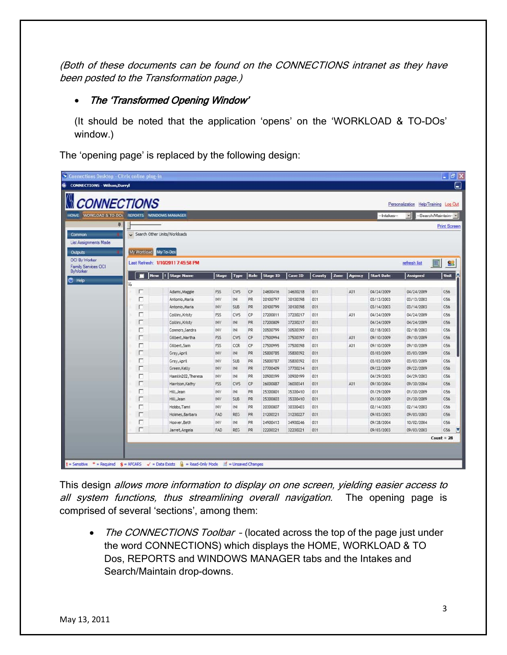(Both of these documents can be found on the CONNECTIONS intranet as they have been posted to the Transformation page.)

## • The 'Transformed Opening Window'

(It should be noted that the application 'opens' on the 'WORKLOAD & TO-DOs' window.)

The 'opening page' is replaced by the following design:

|                                                | <b>CONNECTIONS</b>                     |                                       |              |            |           |          |                |               |                |                   | Personalization Help/Training Log Out |                     |
|------------------------------------------------|----------------------------------------|---------------------------------------|--------------|------------|-----------|----------|----------------|---------------|----------------|-------------------|---------------------------------------|---------------------|
| HOME WORKLOAD & TO-DOS REPORTS WINDOWS MANAGER |                                        |                                       |              |            |           |          |                |               |                | -Intakes-         | $\pmb{\cdot}$                         | -Search/Maintain-   |
|                                                | n<br>Search Other Units/Workloads<br>٠ |                                       |              |            |           |          |                |               |                |                   |                                       | <b>Print Screen</b> |
| Common                                         |                                        |                                       |              |            |           |          |                |               |                |                   |                                       |                     |
| <b>List Assignments Made</b>                   |                                        |                                       |              |            |           |          |                |               |                |                   |                                       |                     |
| <b>Outputs</b>                                 | My Workload                            | My To-Dos                             |              |            |           |          |                |               |                |                   |                                       |                     |
| OCI By Worker<br><b>Family Services OCI</b>    | Last Refresh: 1/10/2011 7:45:58 PM     |                                       |              |            |           |          |                |               |                |                   | refresh list                          | 噩<br>93             |
| ByWorker                                       |                                        | I٢<br><b>New</b><br><b>Stage Name</b> | <b>Stage</b> | Type       | Role      | Stage ID | <b>Case ID</b> | <b>County</b> | Zone<br>Agency | <b>Start Date</b> | <b>Assigned</b>                       | Unit                |
| <b>7</b> Help                                  | Y.                                     |                                       |              |            |           |          |                |               |                |                   |                                       |                     |
|                                                | г                                      | Adams, Maggie                         | FSS          | CWS        | CP.       | 24600416 | 34600218       | 031           | A31            | 04/24/2009        | 04/24/2009                            | G56                 |
|                                                | г                                      | Antonio, Maria                        | INV          | INI        | PR        | 20100797 | 30100398       | 031           |                | 03/13/2003        | 03/13/2003                            | G56                 |
|                                                | П                                      | Antonio, Maria                        | INV          | SUB        | PR        | 20100799 | 30100398       | 031           |                | 03/14/2003        | 03/14/2003                            | G56                 |
|                                                | г                                      | Collins, Kristy                       | FSS.         | CWS        | CP        | 27200811 | 37200217       | 031           | A31            | 04/24/2009        | 04/24/2009                            | G56                 |
|                                                | г                                      | Collins, Kristy                       | INV          | <b>INI</b> | PR        | 27200809 | 37200217       | 031           |                | 04/24/2009        | 04/24/2009                            | G56                 |
|                                                | г                                      | Connors, Sandra                       | INV          | INI        | PR        | 20500799 | 30500399       | 031           |                | 02/18/2003        | 02/18/2003                            | G56                 |
|                                                | П                                      | Gilbert, Martha                       | FSS.         | <b>CWS</b> | CP        | 27500994 | 37500397       | 031           | A31            | 09/10/2009        | 09/10/2009                            | G56                 |
|                                                | г                                      | Gilbert.Sam                           | FSS.         | CCR        | CP        | 27500995 | 37500398       | 031           | A31            | 09/10/2009        | 09/10/2009                            | G56                 |
|                                                | П                                      | Gray, April                           | INV          | INI        | <b>PR</b> | 25800785 | 35800392       | 031           |                | 03/03/2009        | 03/03/2009                            | G56                 |
|                                                | г                                      | Gray, April                           | <b>INV</b>   | <b>SUB</b> | PR        | 25800787 | 35800392       | 031           |                | 03/03/2009        | 03/03/2009                            | G56                 |
|                                                | г                                      | Green, Kelly                          | INV          | INI        | PR        | 27700409 | 37700214       | 031           |                | 09/22/2009        | 09/22/2009                            | G56                 |
|                                                | г                                      | Hamlin202, Theresa                    | <b>INV</b>   | INI        | PR        | 20900399 | 30900199       | 031           |                | 04/29/2003        | 04/29/2003                            | G56                 |
|                                                | г                                      | Harrison, Kathy                       | FSS          | CWS        | CP        | 26000887 | 36000341       | 031           | A31            | 09/30/2004        | 09/30/2004                            | G56                 |
|                                                | г                                      | Hill, Jean                            | <b>INV</b>   | INI        | PR        | 25300801 | 35300410       | 031           |                | 01/29/2009        | 01/30/2009                            | G56                 |
|                                                | г                                      | Hill, Jean                            | INV          | <b>SUB</b> | <b>PR</b> | 25300803 | 35300410       | 031           |                | 01/30/2009        | 01/30/2009                            | G56                 |
|                                                | г                                      | Hobbs, Tami                           | INV          | INI        | PR.       | 20300807 | 30300403       | 031           |                | 02/14/2003        | 02/14/2003                            | G56                 |
|                                                | г                                      | Holmes, Barbara                       | FAD          | REG        | PR        | 21200221 | 31200227       | 031           |                | 09/03/2003        | 09/03/2003                            | G56                 |
|                                                | г                                      | Hoover, Beth                          | INV          | INI        | <b>PR</b> | 24900413 | 34900246       | 031           |                | 09/28/2004        | 10/02/2004                            | G56                 |
|                                                | г                                      | Jarret, Angela                        | FAD          | REG        | PR        | 22200221 | 32200221       | 031           |                | 09/03/2003        | 09/03/2003                            | C56                 |

This design allows more information to display on one screen, yielding easier access to all system functions, thus streamlining overall navigation. The opening page is comprised of several 'sections', among them:

• The CONNECTIONS Toolbar - (located across the top of the page just under the word CONNECTIONS) which displays the HOME, WORKLOAD & TO Dos, REPORTS and WINDOWS MANAGER tabs and the Intakes and Search/Maintain drop-downs.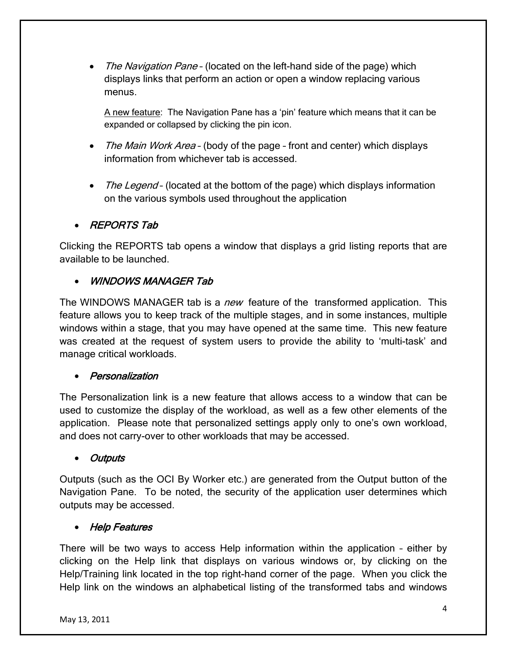• The Navigation Pane - (located on the left-hand side of the page) which displays links that perform an action or open a window replacing various menus.

A new feature: The Navigation Pane has a 'pin' feature which means that it can be expanded or collapsed by clicking the pin icon.

- The Main Work Area (body of the page front and center) which displays information from whichever tab is accessed.
- The Legend (located at the bottom of the page) which displays information on the various symbols used throughout the application

## • REPORTS Tab

Clicking the REPORTS tab opens a window that displays a grid listing reports that are available to be launched.

## • WINDOWS MANAGER Tab

The WINDOWS MANAGER tab is a new feature of the transformed application. This feature allows you to keep track of the multiple stages, and in some instances, multiple windows within a stage, that you may have opened at the same time. This new feature was created at the request of system users to provide the ability to 'multi-task' and manage critical workloads.

## • Personalization

The Personalization link is a new feature that allows access to a window that can be used to customize the display of the workload, as well as a few other elements of the application. Please note that personalized settings apply only to one's own workload, and does not carry-over to other workloads that may be accessed.

## • Outputs

Outputs (such as the OCI By Worker etc.) are generated from the Output button of the Navigation Pane. To be noted, the security of the application user determines which outputs may be accessed.

## • Help Features

There will be two ways to access Help information within the application – either by clicking on the Help link that displays on various windows or, by clicking on the Help/Training link located in the top right-hand corner of the page. When you click the Help link on the windows an alphabetical listing of the transformed tabs and windows